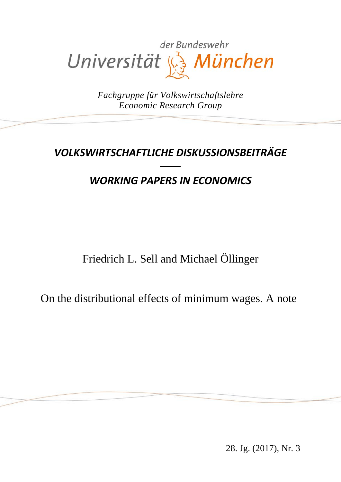

*Fachgruppe für Volkswirtschaftslehre Economic Research Group*

# *VOLKSWIRTSCHAFTLICHE DISKUSSIONSBEITRÄGE*

# *WORKING PAPERS IN ECONOMICS*

Friedrich L. Sell and Michael Öllinger

On the distributional effects of minimum wages. A note

28. Jg. (2017), Nr. 3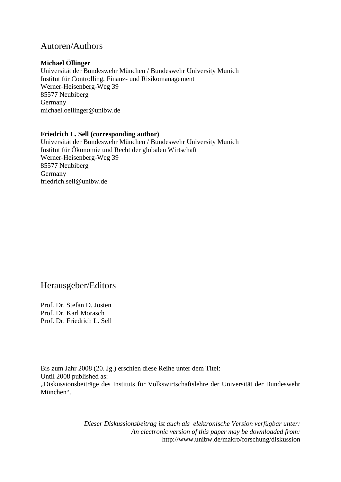## Autoren/Authors

#### **Michael Öllinger**

Universität der Bundeswehr München / Bundeswehr University Munich Institut für Controlling, Finanz- und Risikomanagement Werner-Heisenberg-Weg 39 85577 Neubiberg Germany michael.oellinger@unibw.de

#### **Friedrich L. Sell (corresponding author)**

Universität der Bundeswehr München / Bundeswehr University Munich Institut für Ökonomie und Recht der globalen Wirtschaft Werner-Heisenberg-Weg 39 85577 Neubiberg Germany friedrich.sell@unibw.de

## Herausgeber/Editors

Prof. Dr. Stefan D. Josten Prof. Dr. Karl Morasch Prof. Dr. Friedrich L. Sell

Bis zum Jahr 2008 (20. Jg.) erschien diese Reihe unter dem Titel: Until 2008 published as: "Diskussionsbeiträge des Instituts für Volkswirtschaftslehre der Universität der Bundeswehr München".

> *Dieser Diskussionsbeitrag ist auch als elektronische Version verfügbar unter: An electronic version of this paper may be downloaded from:* http://www.unibw.de/makro/forschung/diskussion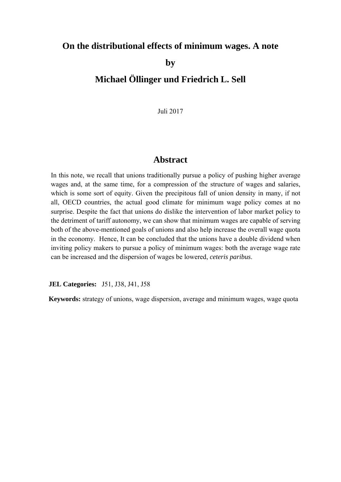## **On the distributional effects of minimum wages. A note**

**by** 

# **Michael Öllinger und Friedrich L. Sell**

Juli 2017

### **Abstract**

In this note, we recall that unions traditionally pursue a policy of pushing higher average wages and, at the same time, for a compression of the structure of wages and salaries, which is some sort of equity. Given the precipitous fall of union density in many, if not all, OECD countries, the actual good climate for minimum wage policy comes at no surprise. Despite the fact that unions do dislike the intervention of labor market policy to the detriment of tariff autonomy, we can show that minimum wages are capable of serving both of the above-mentioned goals of unions and also help increase the overall wage quota in the economy. Hence, It can be concluded that the unions have a double dividend when inviting policy makers to pursue a policy of minimum wages: both the average wage rate can be increased and the dispersion of wages be lowered, *ceteris paribus*.

**JEL Categories:** J51, J38, J41, J58

**Keywords:** strategy of unions, wage dispersion, average and minimum wages, wage quota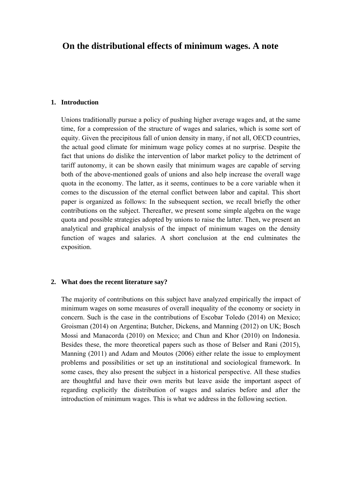## **On the distributional effects of minimum wages. A note**

#### **1. Introduction**

Unions traditionally pursue a policy of pushing higher average wages and, at the same time, for a compression of the structure of wages and salaries, which is some sort of equity. Given the precipitous fall of union density in many, if not all, OECD countries, the actual good climate for minimum wage policy comes at no surprise. Despite the fact that unions do dislike the intervention of labor market policy to the detriment of tariff autonomy, it can be shown easily that minimum wages are capable of serving both of the above-mentioned goals of unions and also help increase the overall wage quota in the economy. The latter, as it seems, continues to be a core variable when it comes to the discussion of the eternal conflict between labor and capital. This short paper is organized as follows: In the subsequent section, we recall briefly the other contributions on the subject. Thereafter, we present some simple algebra on the wage quota and possible strategies adopted by unions to raise the latter. Then, we present an analytical and graphical analysis of the impact of minimum wages on the density function of wages and salaries. A short conclusion at the end culminates the exposition.

#### **2. What does the recent literature say?**

The majority of contributions on this subject have analyzed empirically the impact of minimum wages on some measures of overall inequality of the economy or society in concern. Such is the case in the contributions of Escobar Toledo (2014) on Mexico; Groisman (2014) on Argentina; Butcher, Dickens, and Manning (2012) on UK; Bosch Mossi and Manacorda (2010) on Mexico; and Chun and Khor (2010) on Indonesia. Besides these, the more theoretical papers such as those of Belser and Rani (2015), Manning (2011) and Adam and Moutos (2006) either relate the issue to employment problems and possibilities or set up an institutional and sociological framework. In some cases, they also present the subject in a historical perspective. All these studies are thoughtful and have their own merits but leave aside the important aspect of regarding explicitly the distribution of wages and salaries before and after the introduction of minimum wages. This is what we address in the following section.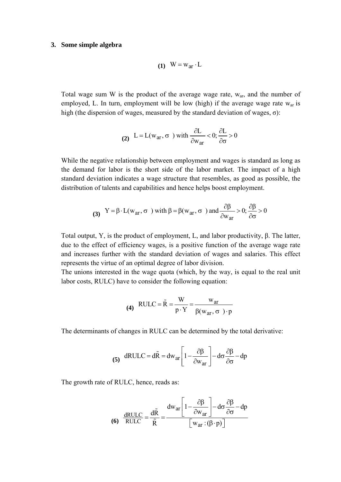#### **3. Some simple algebra**

$$
(1) \quad W = w_{ar} \cdot L
$$

Total wage sum W is the product of the average wage rate, war, and the number of employed, L. In turn, employment will be low (high) if the average wage rate w<sub>ar</sub> is high (the dispersion of wages, measured by the standard deviation of wages,  $\sigma$ ):

(2) 
$$
L = L(w_{ar}, \sigma)
$$
 with  $\frac{\partial L}{\partial w_{ar}} < 0; \frac{\partial L}{\partial \sigma} > 0$ 

While the negative relationship between employment and wages is standard as long as the demand for labor is the short side of the labor market. The impact of a high standard deviation indicates a wage structure that resembles, as good as possible, the distribution of talents and capabilities and hence helps boost employment.

(3) 
$$
Y = \beta \cdot L(w_{ar}, \sigma)
$$
 with  $\beta = \beta(w_{ar}, \sigma)$  and  $\frac{\partial \beta}{\partial w_{ar}} > 0$ ;  $\frac{\partial \beta}{\partial \sigma} > 0$ 

Total output, Y, is the product of employment, L, and labor productivity, β. The latter, due to the effect of efficiency wages, is a positive function of the average wage rate and increases further with the standard deviation of wages and salaries. This effect represents the virtue of an optimal degree of labor division.

The unions interested in the wage quota (which, by the way, is equal to the real unit labor costs, RULC) have to consider the following equation:

(4) RULE = 
$$
\tilde{R} = \frac{W}{p \cdot Y} = \frac{w_{ar}}{\beta(w_{ar}, \sigma) \cdot p}
$$

The determinants of changes in RULC can be determined by the total derivative:

(5) 
$$
dRULC = d\tilde{R} = dw_{ar} \left[ 1 - \frac{\partial \beta}{\partial w_{ar}} \right] - d\sigma \frac{\partial \beta}{\partial \sigma} - dp
$$

The growth rate of RULC, hence, reads as:

$$
\textbf{(6)}\quad \frac{\text{dRULC}}{\text{RULC}} = \frac{\text{d}\tilde{\text{R}}}{\tilde{\text{R}}} = \frac{\text{d}\text{w}_{\text{ar}} \left[ 1 - \frac{\partial \beta}{\partial \text{w}_{\text{ar}}} \right] - \text{d}\sigma \frac{\partial \beta}{\partial \sigma} - \text{dp}}{\left[ \text{w}_{\text{ar}} : (\beta \cdot \text{p}) \right]}
$$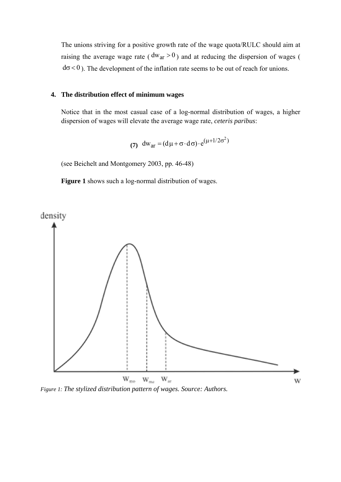The unions striving for a positive growth rate of the wage quota/RULC should aim at raising the average wage rate ( $dw_{\text{ar}} > 0$ ) and at reducing the dispersion of wages (  $d\sigma < 0$ ). The development of the inflation rate seems to be out of reach for unions.

#### **4. The distribution effect of minimum wages**

Notice that in the most casual case of a log-normal distribution of wages, a higher dispersion of wages will elevate the average wage rate, *ceteris paribus*:

(7) 
$$
dw_{ar} = (d\mu + \sigma \cdot d\sigma) \cdot e^{(\mu + 1/2\sigma^2)}
$$

(see Beichelt and Montgomery 2003, pp. 46-48)

**Figure 1** shows such a log-normal distribution of wages.



*Figure 1: The stylized distribution pattern of wages. Source: Authors.*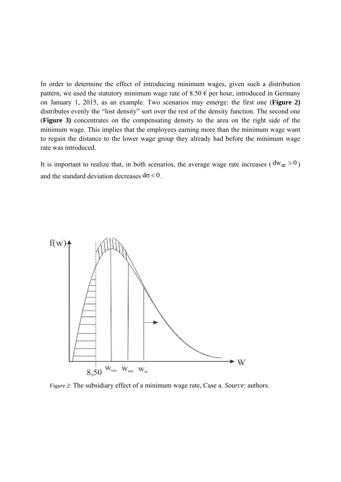In order to determine the effect of introducing minimum wages, given such a distribution pattern, we used the statutory minimum wage rate of 8.50  $\epsilon$  per hour, introduced in Germany on January 1, 2015, as an example. Two scenarios may emerge: the first one (**Figure 2)** distributes evenly the "lost density" sort over the rest of the density function. The second one (**Figure 3)** concentrates on the compensating density to the area on the right side of the minimum wage. This implies that the employees earning more than the minimum wage want to regain the distance to the lower wage group they already had before the minimum wage rate was introduced.

It is important to realize that, in both scenarios, the average wage rate increases ( $dw_{ar} > 0$ ) and the standard deviation decreases  $d\sigma < 0$ .



*Figure 2:* The subsidiary effect of a minimum wage rate, Case a. *Source*: authors.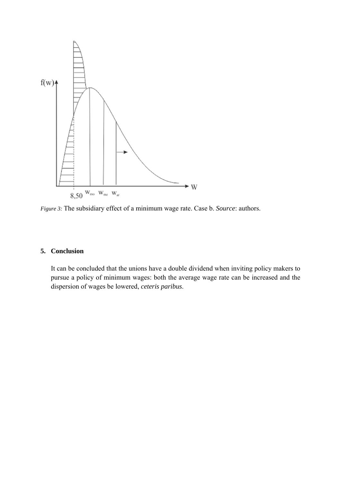

*Figure 3:* The subsidiary effect of a minimum wage rate. Case b. *Source*: authors.

### **5. Conclusion**

It can be concluded that the unions have a double dividend when inviting policy makers to pursue a policy of minimum wages: both the average wage rate can be increased and the dispersion of wages be lowered, *ceteris paribus*.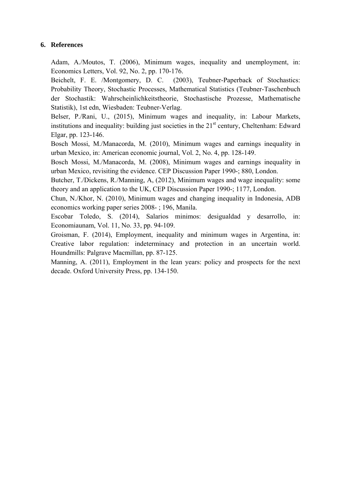#### **6. References**

Adam, A./Moutos, T. (2006), Minimum wages, inequality and unemployment, in: Economics Letters, Vol. 92, No. 2, pp. 170-176.

Beichelt, F. E. /Montgomery, D. C. (2003), Teubner-Paperback of Stochastics: Probability Theory, Stochastic Processes, Mathematical Statistics (Teubner-Taschenbuch der Stochastik: Wahrscheinlichkeitstheorie, Stochastische Prozesse, Mathematische Statistik), 1st edn, Wiesbaden: Teubner-Verlag.

Belser, P./Rani, U., (2015), Minimum wages and inequality, in: Labour Markets, institutions and inequality: building just societies in the  $21<sup>st</sup>$  century, Cheltenham: Edward Elgar, pp. 123-146.

Bosch Mossi, M./Manacorda, M. (2010), Minimum wages and earnings inequality in urban Mexico, in: American economic journal, Vol. 2, No. 4, pp. 128-149.

Bosch Mossi, M./Manacorda, M. (2008), Minimum wages and earnings inequality in urban Mexico, revisiting the evidence. CEP Discussion Paper 1990-; 880, London.

Butcher, T./Dickens, R./Manning, A, (2012), Minimum wages and wage inequality: some theory and an application to the UK, CEP Discussion Paper 1990-; 1177, London.

Chun, N./Khor, N. (2010), Minimum wages and changing inequality in Indonesia, ADB economics working paper series 2008- ; 196, Manila.

Escobar Toledo, S. (2014), Salarios minimos: desigualdad y desarrollo, in: Economiaunam, Vol. 11, No. 33, pp. 94-109.

Groisman, F. (2014), Employment, inequality and minimum wages in Argentina, in: Creative labor regulation: indeterminacy and protection in an uncertain world. Houndmills: Palgrave Macmillan, pp. 87-125.

Manning, A. (2011), Employment in the lean years: policy and prospects for the next decade. Oxford University Press, pp. 134-150.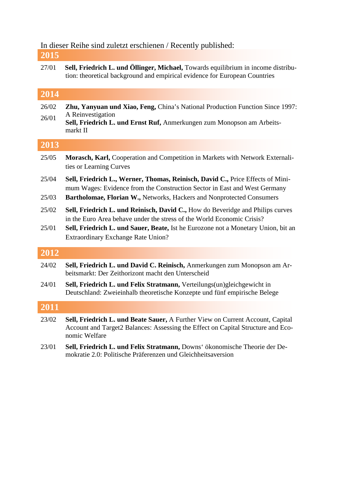# In dieser Reihe sind zuletzt erschienen / Recently published:

- **2015**
- 27/01 **Sell, Friedrich L. und Öllinger, Michael,** Towards equilibrium in income distribution: theoretical background and empirical evidence for European Countries

## **2014**

- 26/02 26/01 **Zhu, Yanyuan und Xiao, Feng,** China's National Production Function Since 1997: A Reinvestigation
- **Sell, Friedrich L. und Ernst Ruf,** Anmerkungen zum Monopson am Arbeitsmarkt II

## **2013**

- 25/05 **Morasch, Karl,** Cooperation and Competition in Markets with Network Externalities or Learning Curves
- 25/04 **Sell, Friedrich L., Werner, Thomas, Reinisch, David C.,** Price Effects of Minimum Wages: Evidence from the Construction Sector in East and West Germany
- 25/03 **Bartholomae, Florian W.,** Networks, Hackers and Nonprotected Consumers
- 25/02 **Sell, Friedrich L. und Reinisch, David C.,** How do Beveridge and Philips curves in the Euro Area behave under the stress of the World Economic Crisis?
- 25/01 **Sell, Friedrich L. und Sauer, Beate,** Ist he Eurozone not a Monetary Union, bit an Extraordinary Exchange Rate Union?

### **2012**

- 24/02 **Sell, Friedrich L. und David C. Reinisch,** Anmerkungen zum Monopson am Arbeitsmarkt: Der Zeithorizont macht den Unterscheid
- 24/01 **Sell, Friedrich L. und Felix Stratmann,** Verteilungs(un)gleichgewicht in Deutschland: Zweieinhalb theoretische Konzepte und fünf empirische Belege

## **2011**

- 23/02 **Sell, Friedrich L. und Beate Sauer,** A Further View on Current Account, Capital Account and Target2 Balances: Assessing the Effect on Capital Structure and Economic Welfare
- 23/01 **Sell, Friedrich L. und Felix Stratmann,** Downs' ökonomische Theorie der Demokratie 2.0: Politische Präferenzen und Gleichheitsaversion